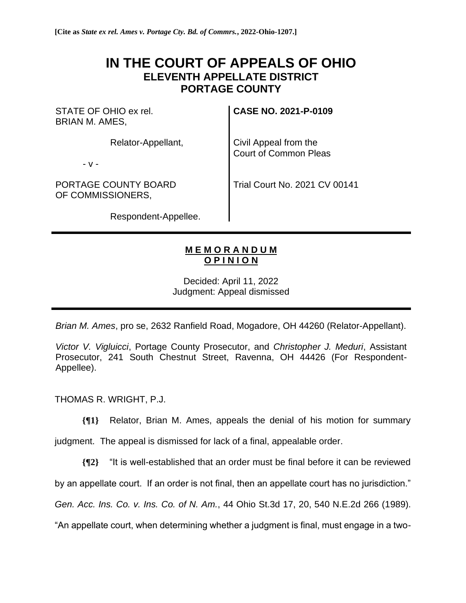## **IN THE COURT OF APPEALS OF OHIO ELEVENTH APPELLATE DISTRICT PORTAGE COUNTY**

STATE OF OHIO ex rel. BRIAN M. AMES,

Relator-Appellant,

- v -

PORTAGE COUNTY BOARD OF COMMISSIONERS,

**CASE NO. 2021-P-0109**

Civil Appeal from the Court of Common Pleas

Trial Court No. 2021 CV 00141

Respondent-Appellee.

## **M E M O R A N D U M O P I N I O N**

Decided: April 11, 2022 Judgment: Appeal dismissed

*Brian M. Ames*, pro se, 2632 Ranfield Road, Mogadore, OH 44260 (Relator-Appellant).

*Victor V. Vigluicci*, Portage County Prosecutor, and *Christopher J. Meduri*, Assistant Prosecutor, 241 South Chestnut Street, Ravenna, OH 44426 (For Respondent-Appellee).

THOMAS R. WRIGHT, P.J.

**{¶1}** Relator, Brian M. Ames, appeals the denial of his motion for summary

judgment. The appeal is dismissed for lack of a final, appealable order.

**{¶2}** "It is well-established that an order must be final before it can be reviewed

by an appellate court. If an order is not final, then an appellate court has no jurisdiction."

*Gen. Acc. Ins. Co. v. Ins. Co. of N. Am.*, 44 Ohio St.3d 17, 20, 540 N.E.2d 266 (1989).

"An appellate court, when determining whether a judgment is final, must engage in a two-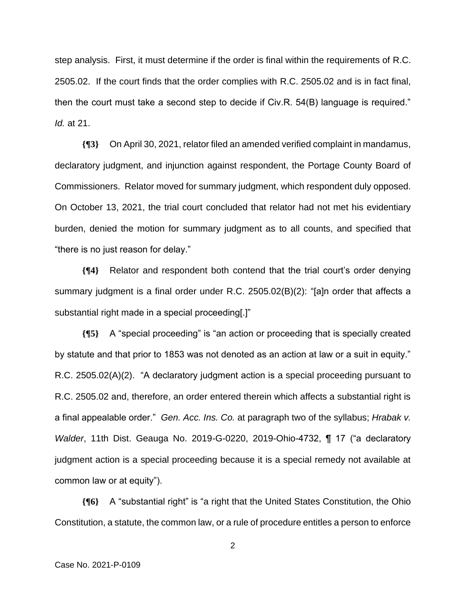step analysis. First, it must determine if the order is final within the requirements of R.C. 2505.02. If the court finds that the order complies with R.C. 2505.02 and is in fact final, then the court must take a second step to decide if Civ.R. 54(B) language is required." *Id.* at 21.

**{¶3}** On April 30, 2021, relator filed an amended verified complaint in mandamus, declaratory judgment, and injunction against respondent, the Portage County Board of Commissioners. Relator moved for summary judgment, which respondent duly opposed. On October 13, 2021, the trial court concluded that relator had not met his evidentiary burden, denied the motion for summary judgment as to all counts, and specified that "there is no just reason for delay."

**{¶4}** Relator and respondent both contend that the trial court's order denying summary judgment is a final order under R.C. 2505.02(B)(2): "[a]n order that affects a substantial right made in a special proceeding[.]"

**{¶5}** A "special proceeding" is "an action or proceeding that is specially created by statute and that prior to 1853 was not denoted as an action at law or a suit in equity." R.C. 2505.02(A)(2). "A declaratory judgment action is a special proceeding pursuant to R.C. 2505.02 and, therefore, an order entered therein which affects a substantial right is a final appealable order." *Gen. Acc. Ins. Co.* at paragraph two of the syllabus; *Hrabak v. Walder*, 11th Dist. Geauga No. 2019-G-0220, 2019-Ohio-4732, ¶ 17 ("a declaratory judgment action is a special proceeding because it is a special remedy not available at common law or at equity").

**{¶6}** A "substantial right" is "a right that the United States Constitution, the Ohio Constitution, a statute, the common law, or a rule of procedure entitles a person to enforce

2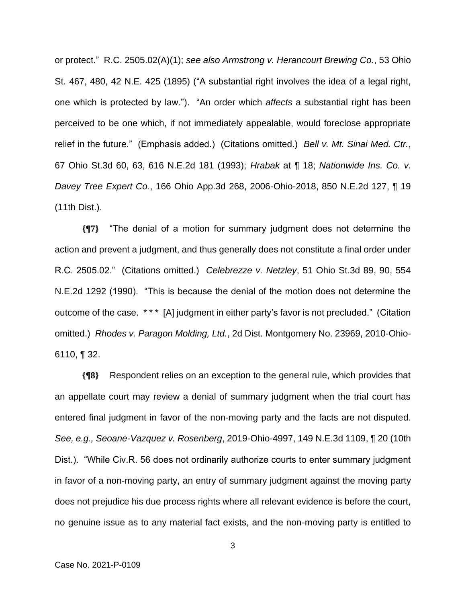or protect." R.C. 2505.02(A)(1); *see also Armstrong v. Herancourt Brewing Co.*, 53 Ohio St. 467, 480, 42 N.E. 425 (1895) ("A substantial right involves the idea of a legal right, one which is protected by law."). "An order which *affects* a substantial right has been perceived to be one which, if not immediately appealable, would foreclose appropriate relief in the future." (Emphasis added.) (Citations omitted.) *Bell v. Mt. Sinai Med. Ctr.*, 67 Ohio St.3d 60, 63, 616 N.E.2d 181 (1993); *Hrabak* at ¶ 18; *Nationwide Ins. Co. v. Davey Tree Expert Co.*, 166 Ohio App.3d 268, 2006-Ohio-2018, 850 N.E.2d 127, ¶ 19 (11th Dist.).

**{¶7}** "The denial of a motion for summary judgment does not determine the action and prevent a judgment, and thus generally does not constitute a final order under R.C. 2505.02." (Citations omitted.) *Celebrezze v. Netzley*, 51 Ohio St.3d 89, 90, 554 N.E.2d 1292 (1990). "This is because the denial of the motion does not determine the outcome of the case. \* \* \* [A] judgment in either party's favor is not precluded." (Citation omitted.) *Rhodes v. Paragon Molding, Ltd.*, 2d Dist. Montgomery No. 23969, 2010-Ohio-6110, ¶ 32.

**{¶8}** Respondent relies on an exception to the general rule, which provides that an appellate court may review a denial of summary judgment when the trial court has entered final judgment in favor of the non-moving party and the facts are not disputed. *See, e.g., Seoane-Vazquez v. Rosenberg*, 2019-Ohio-4997, 149 N.E.3d 1109, ¶ 20 (10th Dist.). "While Civ.R. 56 does not ordinarily authorize courts to enter summary judgment in favor of a non-moving party, an entry of summary judgment against the moving party does not prejudice his due process rights where all relevant evidence is before the court, no genuine issue as to any material fact exists, and the non-moving party is entitled to

3